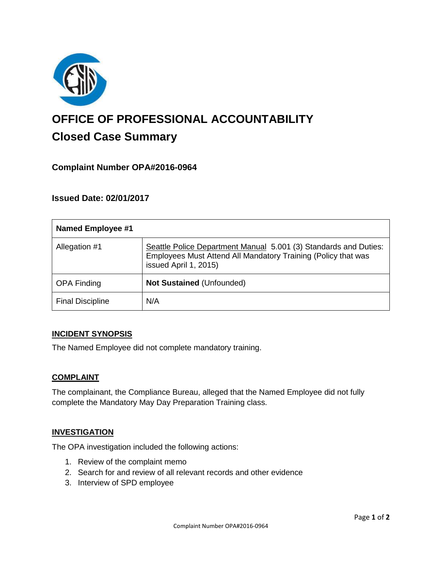

# **OFFICE OF PROFESSIONAL ACCOUNTABILITY Closed Case Summary**

# **Complaint Number OPA#2016-0964**

## **Issued Date: 02/01/2017**

| <b>Named Employee #1</b> |                                                                                                                                                            |
|--------------------------|------------------------------------------------------------------------------------------------------------------------------------------------------------|
| Allegation #1            | Seattle Police Department Manual 5.001 (3) Standards and Duties:<br>Employees Must Attend All Mandatory Training (Policy that was<br>issued April 1, 2015) |
| <b>OPA Finding</b>       | Not Sustained (Unfounded)                                                                                                                                  |
| <b>Final Discipline</b>  | N/A                                                                                                                                                        |

## **INCIDENT SYNOPSIS**

The Named Employee did not complete mandatory training.

## **COMPLAINT**

The complainant, the Compliance Bureau, alleged that the Named Employee did not fully complete the Mandatory May Day Preparation Training class.

## **INVESTIGATION**

The OPA investigation included the following actions:

- 1. Review of the complaint memo
- 2. Search for and review of all relevant records and other evidence
- 3. Interview of SPD employee